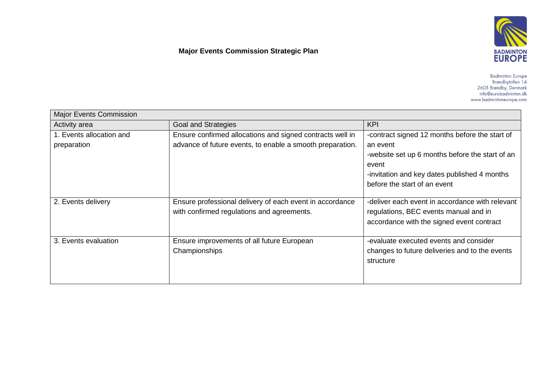## **Major Events Commission Strategic Plan**



Badminton Europe<br>Brøndbytoften 14<br>2605 Brøndby, Denmark<br>info@eurobadminton.dk www.badmintoneurope.com

| <b>Major Events Commission</b> |                                                           |                                                 |  |
|--------------------------------|-----------------------------------------------------------|-------------------------------------------------|--|
| Activity area                  | <b>Goal and Strategies</b>                                | <b>KPI</b>                                      |  |
| 1. Events allocation and       | Ensure confirmed allocations and signed contracts well in | -contract signed 12 months before the start of  |  |
| preparation                    | advance of future events, to enable a smooth preparation. | an event                                        |  |
|                                |                                                           | -website set up 6 months before the start of an |  |
|                                |                                                           | event                                           |  |
|                                |                                                           | -invitation and key dates published 4 months    |  |
|                                |                                                           | before the start of an event                    |  |
| 2. Events delivery             | Ensure professional delivery of each event in accordance  | -deliver each event in accordance with relevant |  |
|                                | with confirmed regulations and agreements.                | regulations, BEC events manual and in           |  |
|                                |                                                           | accordance with the signed event contract       |  |
| 3. Events evaluation           | Ensure improvements of all future European                | -evaluate executed events and consider          |  |
|                                | Championships                                             | changes to future deliveries and to the events  |  |
|                                |                                                           | structure                                       |  |
|                                |                                                           |                                                 |  |
|                                |                                                           |                                                 |  |